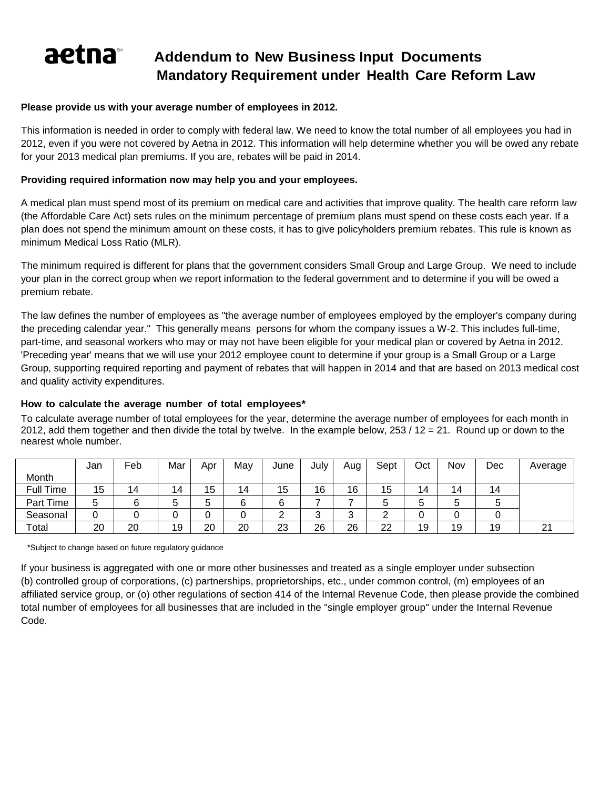# A **Addendum to New Business Input Documents Mandatory Requirement under Health Care Reform Law**

## **Please provide us with your average number of employees in 2012.**

This information is needed in order to comply with federal law. We need to know the total number of all employees you had in 2012, even if you were not covered by Aetna in 2012. This information will help determine whether you will be owed any rebate for your 2013 medical plan premiums. If you are, rebates will be paid in 2014.

## **Providing required information now may help you and your employees.**

A medical plan must spend most of its premium on medical care and activities that improve quality. The health care reform law (the Affordable Care Act) sets rules on the minimum percentage of premium plans must spend on these costs each year. If a plan does not spend the minimum amount on these costs, it has to give policyholders premium rebates. This rule is known as minimum Medical Loss Ratio (MLR).

The minimum required is different for plans that the government considers Small Group and Large Group. We need to include your plan in the correct group when we report information to the federal government and to determine if you will be owed a premium rebate.

The law defines the number of employees as "the average number of employees employed by the employer's company during the preceding calendar year." This generally means persons for whom the company issues a W-2. This includes full-time, part-time, and seasonal workers who may or may not have been eligible for your medical plan or covered by Aetna in 2012. 'Preceding year' means that we will use your 2012 employee count to determine if your group is a Small Group or a Large Group, supporting required reporting and payment of rebates that will happen in 2014 and that are based on 2013 medical cost and quality activity expenditures.

# **How to calculate the average number of total employees\***

To calculate average number of total employees for the year, determine the average number of employees for each month in 2012, add them together and then divide the total by twelve. In the example below, 253 / 12 = 21. Round up or down to the nearest whole number.

|           | Jan | Feb | Mar | Apr | May | June     | July   | Aug    | Sept | Oct | Nov | Dec | Average          |
|-----------|-----|-----|-----|-----|-----|----------|--------|--------|------|-----|-----|-----|------------------|
| Month     |     |     |     |     |     |          |        |        |      |     |     |     |                  |
| Full Time | 15  | 14  | 14  | 15  | 14  | 15       | 16     | 16     | 15   | 14  | 14  | 14  |                  |
| Part Time | 5   |     |     | b   | 6   | 6        |        |        |      | G   |     |     |                  |
| Seasonal  |     |     |     | U   | 0   | <u>.</u> | ົ<br>◡ | ົ<br>J |      | u   |     |     |                  |
| Total     | 20  | 20  | 19  | 20  | 20  | 23       | 26     | 26     | 22   | 19  | 19  | 19  | n,<br>$\epsilon$ |

\*Subject to change based on future regulatory guidance

If your business is aggregated with one or more other businesses and treated as a single employer under subsection (b) controlled group of corporations, (c) partnerships, proprietorships, etc., under common control, (m) employees of an affiliated service group, or (o) other regulations of section 414 of the Internal Revenue Code, then please provide the combined total number of employees for all businesses that are included in the "single employer group" under the Internal Revenue Code.